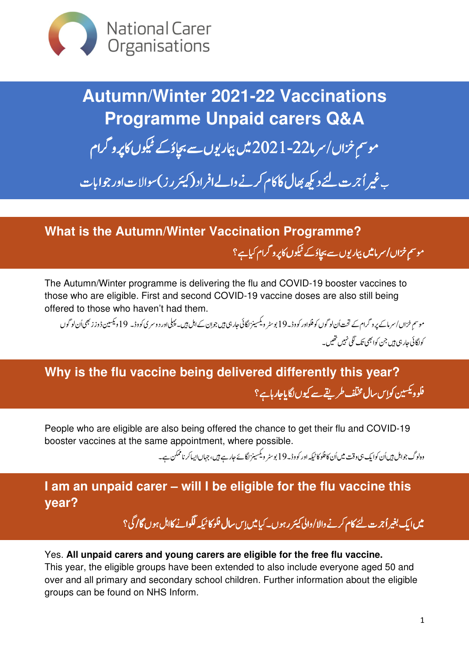

**Autumn/Winter 2021-22 Vaccinations Programme Unpaid carers Q&A** موسم خزاں/سر ما22-2021 میں بیار پوں سے بچاؤکے ٹیکوں کاپرو گرام i. ֧ׅ֪֪֪֪֧֧֚֚֚֚֚֚֚֚֚֚֚֚֚֚֚֚֚֚֚֚֚֞֝֬֝֘֝֝֘֝֬֝֝֝֝֝֝֓֝֬֝֓֝֬֝֓֝֬֝֓֝֬֝֓֝֬֝֓֞֝֬֝֝֬֝֝֬֝֝֬֝֝֞֝֝<br>֧֪֪֪֪֪֪֪֪֪֪֪֪֪֪֝֝֝֝֝֝֝֝֝֝֝

.<br>ب غیر اُجرت لئے دیکھ بھال کا کام کرنے والےافراد (کیئر رز)سوالات اور جوابات l

**What is the Autumn/Winter Vaccination Programme?** موسم خزاں / سرمامیں بیماریوں سے بچاؤ کے ٹیکوں کاپرو گرام کیاہے؟ l

The Autumn/Winter programme is delivering the flu and COVID-19 booster vaccines to those who are eligible. First and second COVID-19 vaccine doses are also still being offered to those who haven't had them.

موسم خزاں/سرمائے پروگرام کے تحت اُن لوگوں کوفلواور کووڈ۔ 19 بوسٹر ویکسینز لگائی جار ہی ہیں جوان کے اہل ہیں۔ پہلی اور دوسری کووڈ۔ 19 دیکسین ڈوز ز بھی اُن لوگوں l, j کواگائی جار ہی ہیں جن کوا بھی تک لگی نہیں تھیں۔

**Why is the flu vaccine being delivered differently this year?** فلوو<sup>یکس</sup>ین کواس سال مختلف طریقے سے کیوں لگایاجار ہاہے؟

People who are eligible are also being offered the chance to get their flu and COVID-19 booster vaccines at the same appointment, where possible.

 F  G HIJKILM ۔ 8 c 2 و N O 3 ) dا ں e ، A 8ر D g 19 وڈ۔ Q اور h  U  نُا <sup>W</sup> W j j وہ لوگ جواہل ہیںاُن کوایک ہی وقت

### **I am an unpaid carer – will I be eligible for the flu vaccine this year?**

میں ایک بغیر اُجر ت لئے کام کرنے والا /والی *کینر ر* ہوں۔ کیامیں اِس سال فلو کا ٹیکہ لگوانے کااہل ہوں گا *گ*ی؟

#### Yes. **All unpaid carers and young carers are eligible for the free flu vaccine.**

This year, the eligible groups have been extended to also include everyone aged 50 and over and all primary and secondary school children. Further information about the eligible groups can be found on NHS Inform.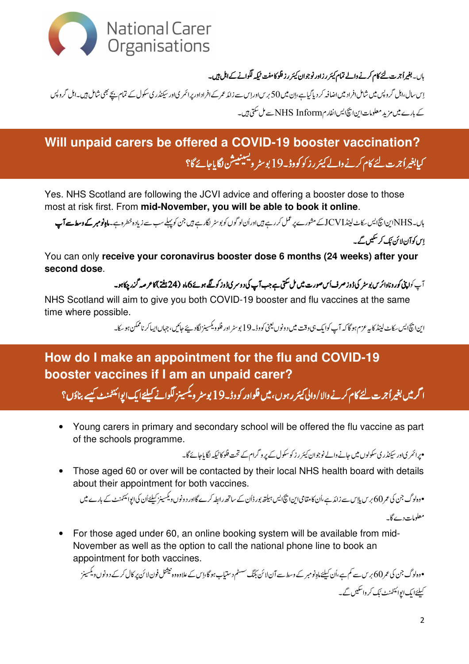

باں۔ بغیراُ جرت لئے کام کرنے والے تمام کیئر رزاور نوجوان کیئر رز فلو کامفت <sup>ب</sup>یکہ لگوانے کے اہل ہیں۔

اِس سال،اہل گروپس میں شامل افراد میں اضافہ کر دیاگیاہے،اِن میں 50 برس اوراس سے زائد عمر کے افراداور پرائمر یاور سیکنڈری سکول کے تمام بچے بھی شامل ہیں۔اہل گروپس کے بارے میں مزید معلومات این انتھایس انفار مNHS Inform سے مل سکتی ہیں۔

# Will unpaid carers be offered a COVID-19 booster vaccination? کیابغیراُجرت لئے کام کرنے والے کیئر رز کو کووڈ۔19 پوسٹر ویسینییشن لگایاجائے گا؟

Yes. NHS Scotland are following the JCVI advice and offering a booster dose to those most at risk first. From mid-November, you will be able to book it online.

ہاں۔ NHS این انکالیں سکاٹ لینڈ JCVI کے مشورے پر عمل کر رہے ہیں اوراُن لو گوں کو بوسٹر لگارہے ہیں جن کو پہلے سب سے زیادہ خطرہ ہے۔م**اہ نومبر کے وسط سے آپ** 

اس کوآن لائن تک کر سکیں گے۔

You can only receive your coronavirus booster dose 6 months (24 weeks) after your second dose.

آپ کواپنی کورونادائریں بوسٹر کی ڈوز صرف اُس صورت میں مل سکتی ہے جب آپ کی دوسر کی ڈوز کو لگے ہوئے 6ماہ (24 ہفتے) کاع صہ گزر چکاہو۔

NHS Scotland will aim to give you both COVID-19 booster and flu vaccines at the same time where possible.

این ایچ ایس برکاٹ لینڈ کا یہ عزم ہوگا کہ آپ کوایک ہی وقت میں دونوں یعنی کووڈ یے 19 بوسٹر اور فلو ویکسینز لگادیئے حائیں، جہاں ایساکر ناممکن ہو سکا۔

#### How do I make an appointment for the flu and COVID-19 booster vaccines if I am an unpaid carer?

ا گرمیں بغیراُ جرت لئے کام کرنے والا/والی کیئر رہوں،میں فلواور کو وڈ 19 پوسٹر ویکسینز لگوانے کیلئےایک ایوائنٹمنٹ کیسے بناؤں؟

Young carers in primary and secondary school will be offered the flu vaccine as part  $\bullet$ of the schools programme.

۔<br>میرائم یاادر سینڈر کی سکولوں میں جانے والے نوجوان کیئر رز کو سکول کے پر و گرام کے تحت فلو کا<sup>ی</sup>یکہ لگا ماجائے گا۔

Those aged 60 or over will be contacted by their local NHS health board with details about their appointment for both vaccines.

• دہاد گ جن کی عمر 60 بریں ہلاس سے زائد ہے ،اُن کامقامی این اپنج ایس ہیلتھ پورڈان کے ساتھ رابطہ کرے گااور دونوں ویکسینز کیلئےاُن کی ایوائنٹمنٹ کے بارے میں

معلومات دے گا۔

For those aged under 60, an online booking system will be available from mid- $\bullet$ November as well as the option to call the national phone line to book an appointment for both vaccines.

•دہاد گ جن کی عمر 60 بر س سے کم ہے،اُن کیلئےماہ نومبر کے وسط سے آن لائن بکنگ سسٹم دستیابہو گا،اِس کے علاوہ وہ نیشنل فون لائن پر کال کرکے د ونوں ویکسینز ۔<br>کیلئےایک ایوائنٹمنٹ ٹک کر واسکیں گے۔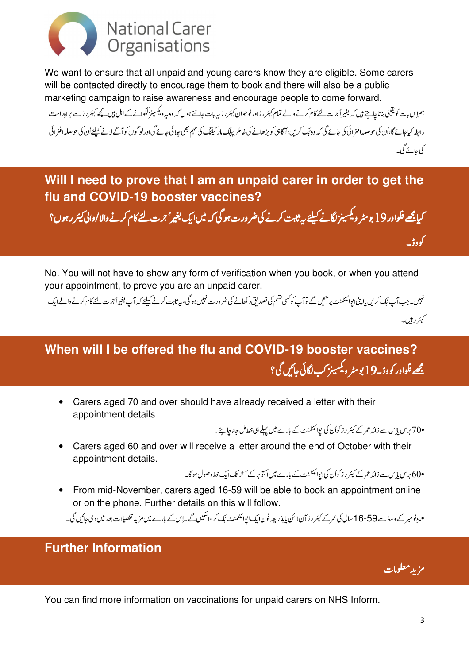

We want to ensure that all unpaid and young carers know they are eligible. Some carers will be contacted directly to encourage them to book and there will also be a public marketing campaign to raise awareness and encourage people to come forward.

ہم اِس بات کویقینی بناناچاہتے ہیں کہ بغیراُجرت لئے کام کرنے والے تمام کیئر رزاور نوجوان کیئر رز ہے بات پہر اس کے اہل ہیں۔کچھ کیئر رزسے براہِ راست رابطہ کیاجائے گا،اُن کی حوصلہ افزائی کی جائے گی کہ وہ بَک کریں،آگاہی کو بنا کے پاکسار کیننگ کی مہم بھی چلائی جائے گیاورلوگوں کوآگے لانے کیلئےاُن کی حوصلہ افنرائی کی جائے گی۔

Will I need to prove that I am an unpaid carer in order to get the flu and COVID-19 booster vaccines?

کہا<u>چھ</u> فلوادر91 پوسٹر ویکسینز لگانے کیلئے رہ<sup>ی</sup>ابت کرنے کی ضرورت ہو گیا کہ میں ایک بغیراً جرت کئے کام کرنے والا/والی *کیئر ر*ہوں؟

No. You will not have to show any form of verification when you book, or when you attend your appointment, to prove you are an unpaid carer.

نہیں۔جب آپ <sup>ب</sup>ک کریں ہااپنی ایوائنٹمنٹ پر آئیں گے توآپ کو<sup>کس</sup>ی فتی تصدیق دکھانے کی ضرورت نہیں ہو گی، بی<sup>ب</sup> تابت کرنے کیلئے کہ آپ بغیراً جرت لئے کام کرنے والے ایک کیئر رہیں۔

## When will I be offered the flu and COVID-19 booster vaccines? مجھے فلواور کووڈ۔19 پوسٹر ویکسینز کپ لگائی جائیں گی؟

Carers aged 70 and over should have already received a letter with their appointment details

۔<br>70° برس پلاس سے زائد عمر کے کیئر رز کواُن کی ایوائنٹمنٹ کے بارے میں پہلے ہی خط مل جاناچاہئے۔

Carers aged 60 and over will receive a letter around the end of October with their  $\bullet$ appointment details.

•60 بریں ہلاس سے زائد عمر کے کیئر رز کواُن کی ایوائنٹمنٹ کے بارے میں اکتو بر کے آخر تک ایک خط دصول ہوگا۔

• From mid-November, carers aged 16-59 will be able to book an appointment online or on the phone. Further details on this will follow.

۔<br>•ماہ نومبر کے وسط سے 59-16 سال کی عمر کے کیئر رزآن لائن بابذریعہ فون ایک ایوائنٹمنٹ ٹک کرواسکیں گے۔اس کے بارے میںمز بد تفصیلات بعد میں دی جائیں گی۔

#### **Further Information**

مزيد معلومات

کووڈ۔

You can find more information on vaccinations for unpaid carers on NHS Inform.